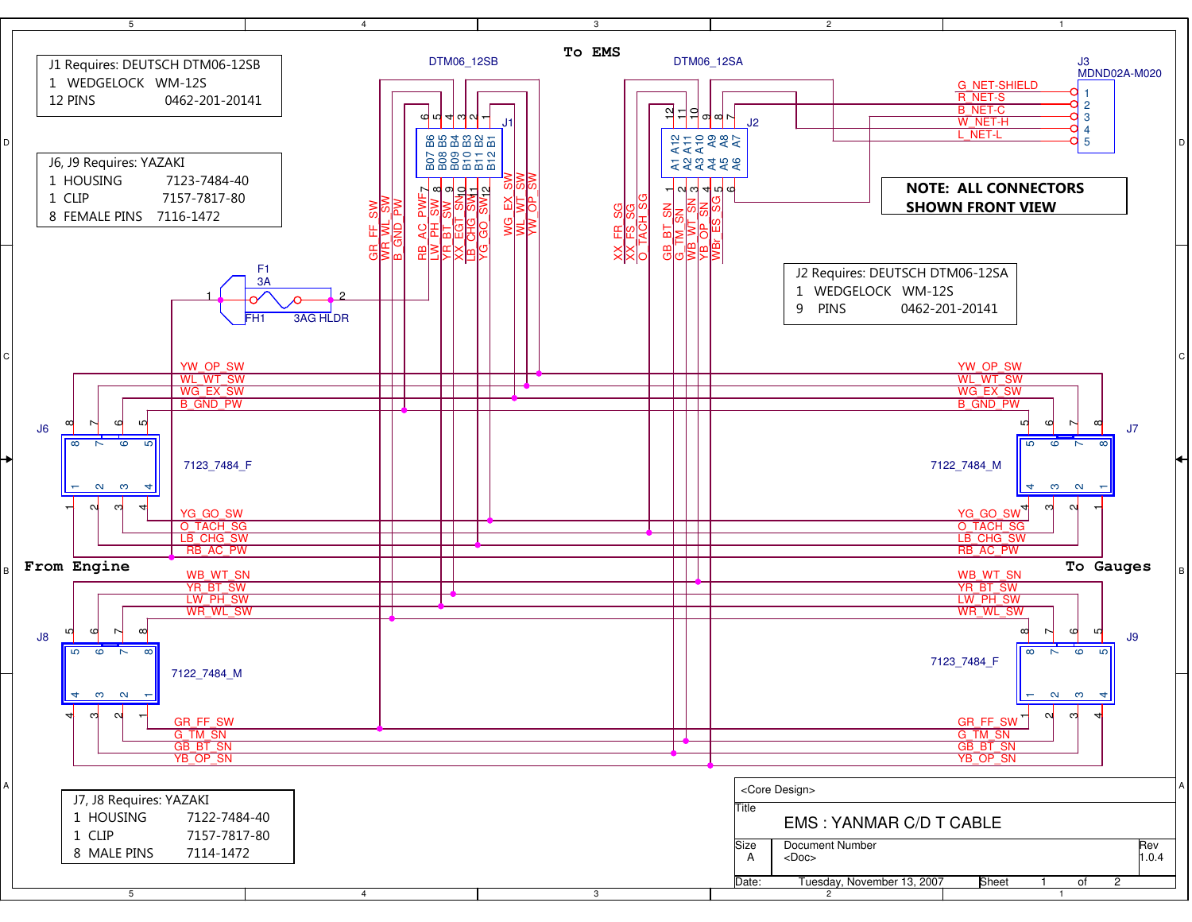